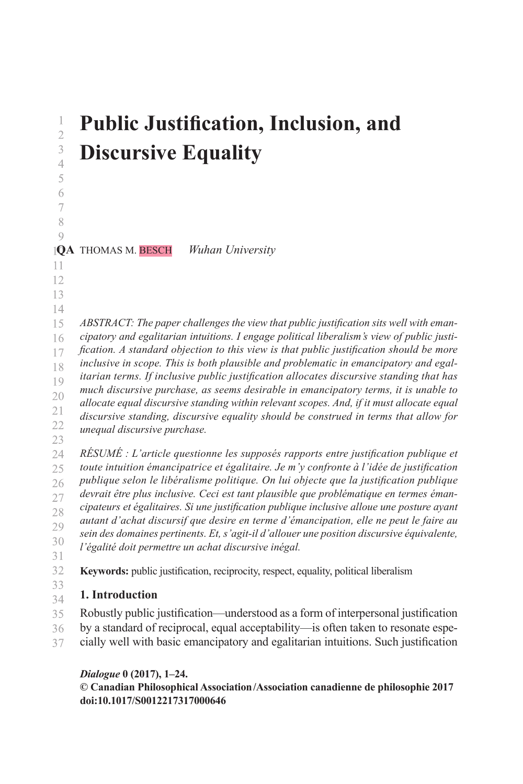#### 1  **Public Justification, Inclusion, and**  $\overline{2}$ 3 **Discursive Equality**   $\overline{4}$

THOMAS M. BESCH *Wuhan University*  **QA**

 $14$ 15 ABSTRACT: The paper challenges the view that public justification sits well with eman*cipatory and egalitarian intuitions. I engage political liberalism's view of public justi-*16 *fication. A standard objection to this view is that public justification should be more*  $17$ *inclusive in scope. This is both plausible and problematic in emancipatory and egal-*18 *itarian terms. If inclusive public justification allocates discursive standing that has* 19 *much discursive purchase, as seems desirable in emancipatory terms, it is unable to*  20 *allocate equal discursive standing within relevant scopes. And, if it must allocate equal*  21 *discursive standing, discursive equality should be construed in terms that allow for*  22 *unequal discursive purchase.*  23

24 *RÉSUMÉ : L'article questionne les supposés rapports entre justification publique et* toute intuition émancipatrice et égalitaire. Je m'y confronte à l'idée de justification 25 *publique selon le libéralisme politique. On lui objecte que la justifi cation publique*  26 *devrait être plus inclusive. Ceci est tant plausible que problématique en termes éman-*27 cipateurs et égalitaires. Si une justification publique inclusive alloue une posture ayant 28 *autant d'achat discursif que desire en terme d'émancipation, elle ne peut le faire au*  29 *sein des domaines pertinents. Et, s'agit-il d'allouer une position discursive équivalente,*  30 *l'égalité doit permettre un achat discursive inégal.* 

 $31$ 33

11 12 13

32 Keywords: public justification, reciprocity, respect, equality, political liberalism

 **1. Introduction**   $34$ 

Robustly public justification—understood as a form of interpersonal justification 35 by a standard of reciprocal, equal acceptability—is often taken to resonate espe-36

37 cially well with basic emancipatory and egalitarian intuitions. Such justification

# *Dialogue* 0 (2017), 1–24.

**© Canadian Philosophical Association /Association canadienne de philosophie 2017 doi:10.1017/S0012217317000646**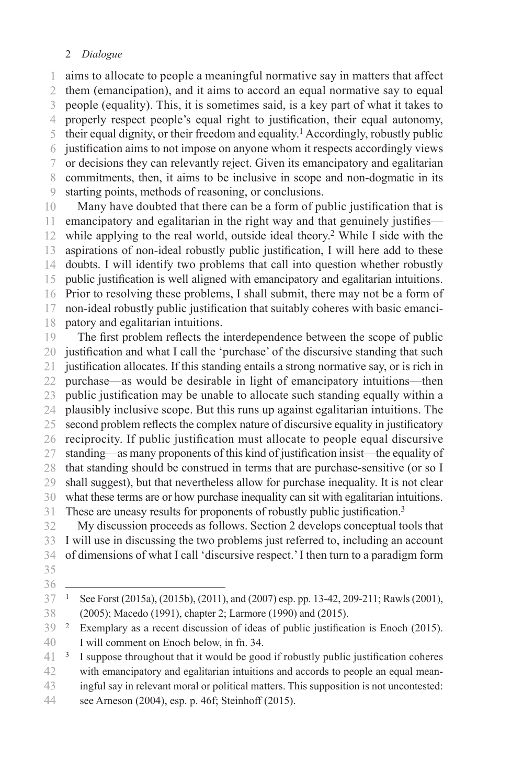aims to allocate to people a meaningful normative say in matters that affect 1 them (emancipation), and it aims to accord an equal normative say to equal  $2 3$ people (equality). This, it is sometimes said, is a key part of what it takes to  $4$ properly respect people's equal right to justification, their equal autonomy, their equal dignity, or their freedom and equality.<sup>1</sup> Accordingly, robustly public 5 justification aims to not impose on anyone whom it respects accordingly views 6  $\tau$ or decisions they can relevantly reject. Given its emancipatory and egalitarian commitments, then, it aims to be inclusive in scope and non-dogmatic in its 8 starting points, methods of reasoning, or conclusions. 9 Many have doubted that there can be a form of public justification that is  $10<sup>1</sup>$ 

11 emancipatory and egalitarian in the right way and that genuinely justifies while applying to the real world, outside ideal theory.<sup>2</sup> While I side with the 12 13 aspirations of non-ideal robustly public justification, I will here add to these doubts. I will identify two problems that call into question whether robustly  $14$ public justification is well aligned with emancipatory and egalitarian intuitions. 15 16 Prior to resolving these problems, I shall submit, there may not be a form of 17 non-ideal robustly public justification that suitably coheres with basic emanci-18 patory and egalitarian intuitions.

The first problem reflects the interdependence between the scope of public  $19$ justification and what I call the 'purchase' of the discursive standing that such 20 21 justification allocates. If this standing entails a strong normative say, or is rich in 22 purchase—as would be desirable in light of emancipatory intuitions—then 23 public justification may be unable to allocate such standing equally within a plausibly inclusive scope. But this runs up against egalitarian intuitions. The 24 25 second problem reflects the complex nature of discursive equality in justificatory 26 reciprocity. If public justification must allocate to people equal discursive standing—as many proponents of this kind of justification insist—the equality of 27 that standing should be construed in terms that are purchase-sensitive (or so I 28 shall suggest), but that nevertheless allow for purchase inequality. It is not clear 29 30 what these terms are or how purchase inequality can sit with egalitarian intuitions. 31 These are uneasy results for proponents of robustly public justification.<sup>3</sup>

 My discussion proceeds as follows. Section 2 develops conceptual tools that 32 33 I will use in discussing the two problems just referred to, including an account of dimensions of what I call 'discursive respect.' I then turn to a paradigm form 34 35

|    | $37-1$ See Forst (2015a), (2015b), (2011), and (2007) esp. pp. 13-42, 209-211; Rawls (2001), |
|----|----------------------------------------------------------------------------------------------|
| 38 | $(2005)$ ; Macedo (1991), chapter 2; Larmore (1990) and (2015).                              |

- 39 <sup>2</sup> Exemplary as a recent discussion of ideas of public justification is Enoch  $(2015)$ . 40 I will comment on Enoch below, in fn. 34.
- $41$ <sup>3</sup> I suppose throughout that it would be good if robustly public justification coheres 42 with emancipatory and egalitarian intuitions and accords to people an equal mean-
- 43 ingful say in relevant moral or political matters. This supposition is not uncontested:
- 44 see Arneson (2004), esp. p. 46f; Steinhoff (2015).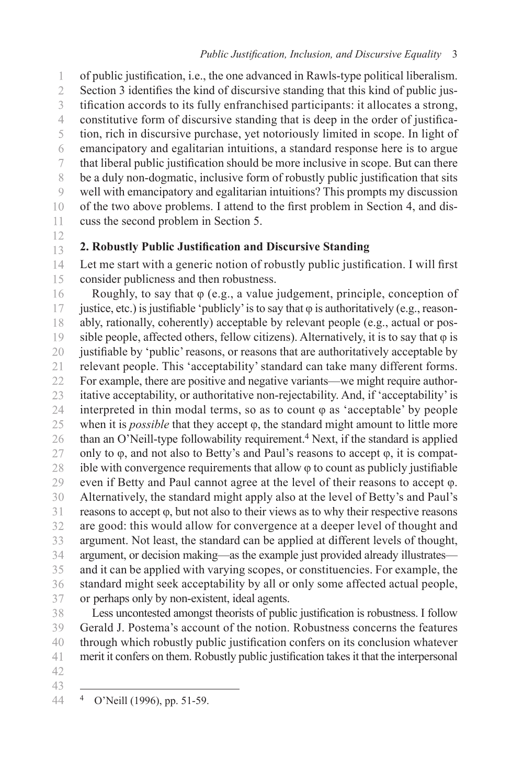of public justification, i.e., the one advanced in Rawls-type political liberalism.  $\mathbf{1}$  $\overline{2}$ Section 3 identifies the kind of discursive standing that this kind of public jus- $\overline{3}$ tification accords to its fully enfranchised participants: it allocates a strong, constitutive form of discursive standing that is deep in the order of justifica- $\overline{4}$ 5 tion, rich in discursive purchase, yet notoriously limited in scope. In light of 6 emancipatory and egalitarian intuitions, a standard response here is to argue  $\tau$ that liberal public justification should be more inclusive in scope. But can there 8 be a duly non-dogmatic, inclusive form of robustly public justification that sits 9 well with emancipatory and egalitarian intuitions? This prompts my discussion of the two above problems. I attend to the first problem in Section 4, and dis-10 11 cuss the second problem in Section 5.

12 13

# **2. Robustly Public Justification and Discursive Standing**

14 Let me start with a generic notion of robustly public justification. I will first 15 consider publicness and then robustness.

16 Roughly, to say that  $\varphi$  (e.g., a value judgement, principle, conception of 17 justice, etc.) is justifiable 'publicly' is to say that  $\varphi$  is authoritatively (e.g., reason-18 ably, rationally, coherently) acceptable by relevant people (e.g., actual or pos-19 sible people, affected others, fellow citizens). Alternatively, it is to say that φ is 20 justifiable by 'public' reasons, or reasons that are authoritatively acceptable by 21 relevant people. This 'acceptability' standard can take many different forms. 22 For example, there are positive and negative variants—we might require author-23 itative acceptability, or authoritative non-rejectability. And, if 'acceptability' is 24 interpreted in thin modal terms, so as to count  $\varphi$  as 'acceptable' by people 25 when it is *possible* that they accept φ, the standard might amount to little more than an O'Neill-type followability requirement.<sup>4</sup> Next, if the standard is applied 26 27 only to  $\varphi$ , and not also to Betty's and Paul's reasons to accept  $\varphi$ , it is compatible with convergence requirements that allow  $\varphi$  to count as publicly justifiable 28 29 even if Betty and Paul cannot agree at the level of their reasons to accept φ. 30 Alternatively, the standard might apply also at the level of Betty's and Paul's 31 reasons to accept φ, but not also to their views as to why their respective reasons 32 are good: this would allow for convergence at a deeper level of thought and 33 argument. Not least, the standard can be applied at different levels of thought, argument, or decision making—as the example just provided already illustrates— 34 35 and it can be applied with varying scopes, or constituencies. For example, the 36 standard might seek acceptability by all or only some affected actual people, 37 or perhaps only by non-existent, ideal agents.

38 Less uncontested amongst theorists of public justification is robustness. I follow Gerald J. Postema's account of the notion. Robustness concerns the features 39 through which robustly public justification confers on its conclusion whatever 40 41 merit it confers on them. Robustly public justification takes it that the interpersonal

- 42
- 43

<sup>4</sup> O'Neill (1996), pp. 51-59. 44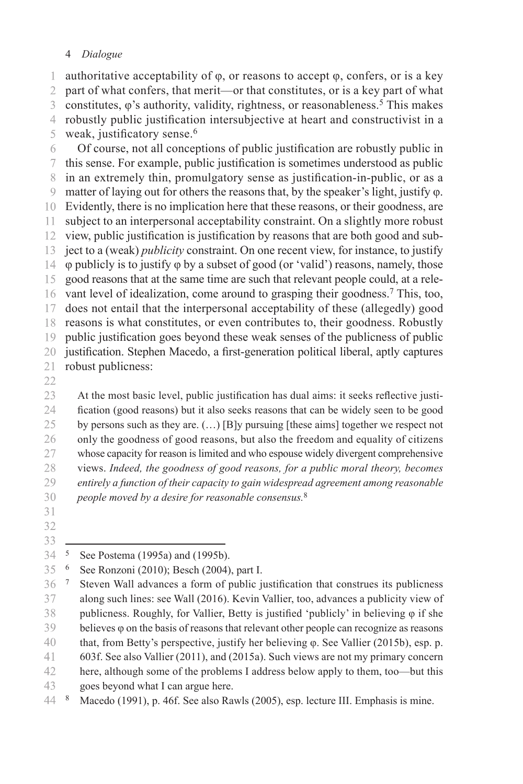authoritative acceptability of  $\varphi$ , or reasons to accept  $\varphi$ , confers, or is a key 1 part of what confers, that merit—or that constitutes, or is a key part of what  $2$ constitutes, φ 's authority, validity, rightness, or reasonableness. 5 This makes 4 robustly public justification intersubjective at heart and constructivist in a weak, justificatory sense.<sup>6</sup> 5

Of course, not all conceptions of public justification are robustly public in 6 this sense. For example, public justification is sometimes understood as public in an extremely thin, promulgatory sense as justification-in-public, or as a 8 matter of laying out for others the reasons that, by the speaker's light, justify  $\varphi$ . 9 Evidently, there is no implication here that these reasons, or their goodness, are 10 11 subject to an interpersonal acceptability constraint. On a slightly more robust view, public justification is justification by reasons that are both good and sub-12 13 ject to a (weak) *publicity* constraint. On one recent view, for instance, to justify φ publicly is to justify φ by a subset of good (or 'valid') reasons, namely, those  $14$ good reasons that at the same time are such that relevant people could, at a rele-15 16 vant level of idealization, come around to grasping their goodness.<sup>7</sup> This, too, does not entail that the interpersonal acceptability of these (allegedly) good 17 reasons is what constitutes, or even contributes to, their goodness. Robustly public justification goes beyond these weak senses of the publicness of public 19 justification. Stephen Macedo, a first-generation political liberal, aptly captures 20 21 robust publicness:

22

23 At the most basic level, public justification has dual aims: it seeks reflective justi-24 fication (good reasons) but it also seeks reasons that can be widely seen to be good 25 by persons such as they are. (…) [B]y pursuing [these aims] together we respect not 26 only the goodness of good reasons, but also the freedom and equality of citizens 27 whose capacity for reason is limited and who espouse widely divergent comprehensive 28 views. *Indeed, the goodness of good reasons, for a public moral theory, becomes*  29 *entirely a function of their capacity to gain widespread agreement among reasonable people moved by a desire for reasonable consensus.*<sup>8</sup> 30

31

<sup>&</sup>lt;sup>5</sup> See Postema (1995a) and (1995b). 34

<sup>35</sup>  $6$  See Ronzoni (2010); Besch (2004), part I.

<sup>36</sup> <sup>7</sup> Steven Wall advances a form of public justification that construes its publicness along such lines: see Wall (2016). Kevin Vallier, too, advances a publicity view of 37 publicness. Roughly, for Vallier, Betty is justified 'publicly' in believing  $\varphi$  if she 38 39 believes φ on the basis of reasons that relevant other people can recognize as reasons 40 that, from Betty's perspective, justify her believing  $\varphi$ . See Vallier (2015b), esp. p.  $41$ 603f. See also Vallier (2011), and (2015a). Such views are not my primary concern here, although some of the problems I address below apply to them, too—but this 42 43 goes beyond what I can argue here.

<sup>44</sup> <sup>8</sup> Macedo (1991), p. 46f. See also Rawls (2005), esp. lecture III. Emphasis is mine.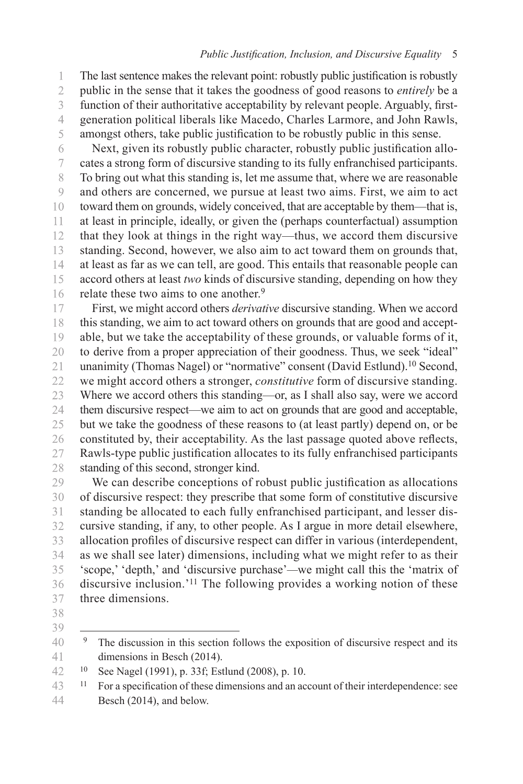The last sentence makes the relevant point: robustly public justification is robustly 1  $\overline{2}$ public in the sense that it takes the goodness of good reasons to *entirely* be a 3 function of their authoritative acceptability by relevant people. Arguably, firstgeneration political liberals like Macedo, Charles Larmore, and John Rawls,  $\overline{4}$ 5 amongst others, take public justification to be robustly public in this sense.

6 Next, given its robustly public character, robustly public justification allo- $\overline{7}$ cates a strong form of discursive standing to its fully enfranchised participants. 8 To bring out what this standing is, let me assume that, where we are reasonable 9 and others are concerned, we pursue at least two aims. First, we aim to act toward them on grounds, widely conceived, that are acceptable by them—that is, 10 11 at least in principle, ideally, or given the (perhaps counterfactual) assumption that they look at things in the right way—thus, we accord them discursive 12 13 standing. Second, however, we also aim to act toward them on grounds that, 14 at least as far as we can tell, are good. This entails that reasonable people can 15 accord others at least *two* kinds of discursive standing, depending on how they 16 relate these two aims to one another. 9

17 First, we might accord others *derivative* discursive standing. When we accord 18 this standing, we aim to act toward others on grounds that are good and accept-19 able, but we take the acceptability of these grounds, or valuable forms of it, to derive from a proper appreciation of their goodness. Thus, we seek "ideal" 20 21 unanimity (Thomas Nagel) or "normative" consent (David Estlund). 10 Second, we might accord others a stronger, *constitutive* form of discursive standing. 22 23 Where we accord others this standing—or, as I shall also say, were we accord 24 them discursive respect—we aim to act on grounds that are good and acceptable, 25 but we take the goodness of these reasons to (at least partly) depend on, or be 26 constituted by, their acceptability. As the last passage quoted above reflects, 27 Rawls-type public justification allocates to its fully enfranchised participants 28 standing of this second, stronger kind.

29 We can describe conceptions of robust public justification as allocations 30 of discursive respect: they prescribe that some form of constitutive discursive 31 standing be allocated to each fully enfranchised participant, and lesser dis-32 cursive standing, if any, to other people. As I argue in more detail elsewhere, 33 allocation profiles of discursive respect can differ in various (interdependent, as we shall see later) dimensions, including what we might refer to as their 34 'scope,' 'depth,' and 'discursive purchase' *—* we might call this the 'matrix of 35 discursive inclusion.'<sup>11</sup> The following provides a working notion of these 36 37 three dimensions.

<sup>&</sup>lt;sup>9</sup> The discussion in this section follows the exposition of discursive respect and its 40 41 dimensions in Besch (2014).

<sup>42</sup> <sup>10</sup> See Nagel (1991), p. 33f; Estlund (2008), p. 10.

<sup>43</sup>  $11$  For a specification of these dimensions and an account of their interdependence: see 44 Besch (2014), and below.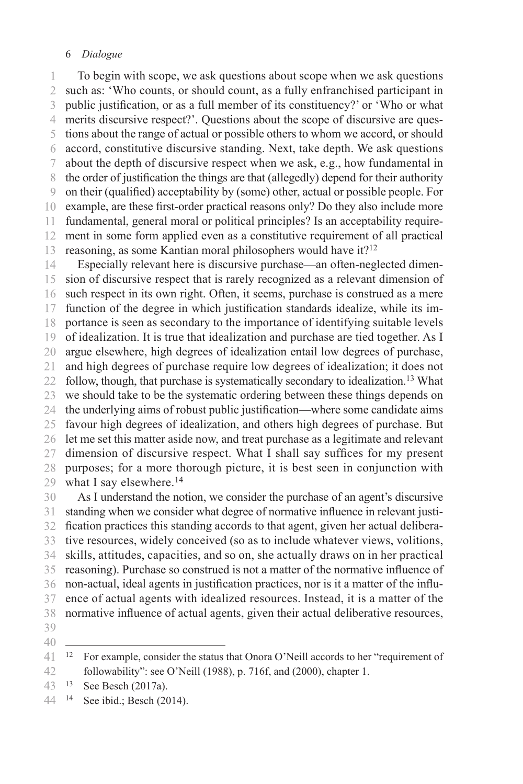To begin with scope, we ask questions about scope when we ask questions 1  $\overline{2}$ such as: 'Who counts, or should count, as a fully enfranchised participant in 3 public justification, or as a full member of its constituency?' or 'Who or what merits discursive respect?'. Questions about the scope of discursive are ques- $5$ tions about the range of actual or possible others to whom we accord, or should accord, constitutive discursive standing. Next, take depth. We ask questions 6 7 about the depth of discursive respect when we ask, e.g., how fundamental in the order of justification the things are that (allegedly) depend for their authority 8 on their (qualified) acceptability by (some) other, actual or possible people. For 9 example, are these first-order practical reasons only? Do they also include more 10 fundamental, general moral or political principles? Is an acceptability require- $11$ 12 ment in some form applied even as a constitutive requirement of all practical 13 reasoning, as some Kantian moral philosophers would have it?<sup>12</sup>

 Especially relevant here is discursive purchase—an often-neglected dimen- $14$ sion of discursive respect that is rarely recognized as a relevant dimension of 15 16 such respect in its own right. Often, it seems, purchase is construed as a mere 17 function of the degree in which justification standards idealize, while its im-18 portance is seen as secondary to the importance of identifying suitable levels of idealization. It is true that idealization and purchase are tied together. As I  $19$ 20 argue elsewhere, high degrees of idealization entail low degrees of purchase, 21 and high degrees of purchase require low degrees of idealization; it does not  $22$ follow, though, that purchase is systematically secondary to idealization. 13 What 23 we should take to be the systematic ordering between these things depends on the underlying aims of robust public justification—where some candidate aims 24 25 favour high degrees of idealization, and others high degrees of purchase. But 26 let me set this matter aside now, and treat purchase as a legitimate and relevant dimension of discursive respect. What I shall say suffices for my present 27 purposes; for a more thorough picture, it is best seen in conjunction with 28 what I say elsewhere.<sup>14</sup> 29

30 As I understand the notion, we consider the purchase of an agent's discursive  $31$ standing when we consider what degree of normative influence in relevant justi- $32$ fication practices this standing accords to that agent, given her actual deliberative resources, widely conceived (so as to include whatever views, volitions, 33 34 skills, attitudes, capacities, and so on, she actually draws on in her practical 35 reasoning). Purchase so construed is not a matter of the normative influence of 36 non-actual, ideal agents in justification practices, nor is it a matter of the influence of actual agents with idealized resources. Instead, it is a matter of the 37 normative influence of actual agents, given their actual deliberative resources, 38 39

- 43  $13$  See Besch (2017a).
- $14$  See ibid.; Besch (2014). 44

 $41$ 12 For example, consider the status that Onora O'Neill accords to her "requirement of 42 followability": see O'Neill (1988), p. 716f, and (2000), chapter 1.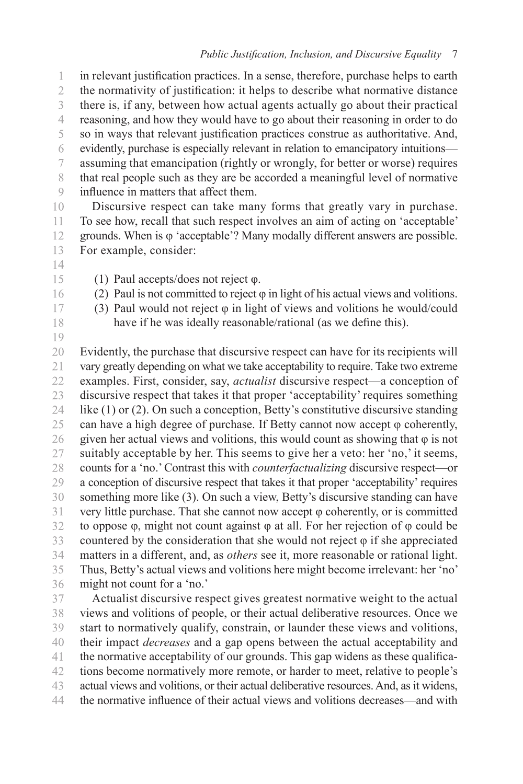in relevant justification practices. In a sense, therefore, purchase helps to earth 1  $\overline{2}$ the normativity of justification: it helps to describe what normative distance 3 there is, if any, between how actual agents actually go about their practical reasoning, and how they would have to go about their reasoning in order to do  $\overline{4}$ 5 so in ways that relevant justification practices construe as authoritative. And, 6 evidently, purchase is especially relevant in relation to emancipatory intuitions— 7 assuming that emancipation (rightly or wrongly, for better or worse) requires 8 that real people such as they are be accorded a meaningful level of normative  $\circ$ influence in matters that affect them.

 Discursive respect can take many forms that greatly vary in purchase.  $10<sup>1</sup>$ 11 To see how, recall that such respect involves an aim of acting on 'acceptable' 12 grounds. When is φ 'acceptable'? Many modally different answers are possible. 13 For example, consider:

 $14$ 15

(1) Paul accepts/does not reject  $\varphi$ .

- (2) Paul is not committed to reject φ in light of his actual views and volitions.
- (3) Paul would not reject φ in light of views and volitions he would/could have if he was ideally reasonable/rational (as we define this).

Evidently, the purchase that discursive respect can have for its recipients will 20 21 vary greatly depending on what we take acceptability to require. Take two extreme examples. First, consider, say, *actualist* discursive respect—a conception of 22 discursive respect that takes it that proper 'acceptability' requires something 23 24 like (1) or (2). On such a conception, Betty's constitutive discursive standing 25 can have a high degree of purchase. If Betty cannot now accept φ coherently, 26 given her actual views and volitions, this would count as showing that φ is not 27 suitably acceptable by her. This seems to give her a veto: her 'no,' it seems, 28 counts for a 'no.' Contrast this with *counterfactualizing* discursive respect—or 29 a conception of discursive respect that takes it that proper 'acceptability' requires 30 something more like (3). On such a view, Betty's discursive standing can have 31 very little purchase. That she cannot now accept φ coherently, or is committed 32 to oppose  $\varphi$ , might not count against  $\varphi$  at all. For her rejection of  $\varphi$  could be countered by the consideration that she would not reject φ if she appreciated 33 34 matters in a different, and, as *others* see it, more reasonable or rational light. 35 Thus, Betty's actual views and volitions here might become irrelevant: her 'no' 36 might not count for a 'no.'

37 Actualist discursive respect gives greatest normative weight to the actual 38 views and volitions of people, or their actual deliberative resources. Once we start to normatively qualify, constrain, or launder these views and volitions, 39 their impact *decreases* and a gap opens between the actual acceptability and 40 41 the normative acceptability of our grounds. This gap widens as these qualifications become normatively more remote, or harder to meet, relative to people's 42 43 actual views and volitions, or their actual deliberative resources. And, as it widens, the normative influence of their actual views and volitions decreases—and with 44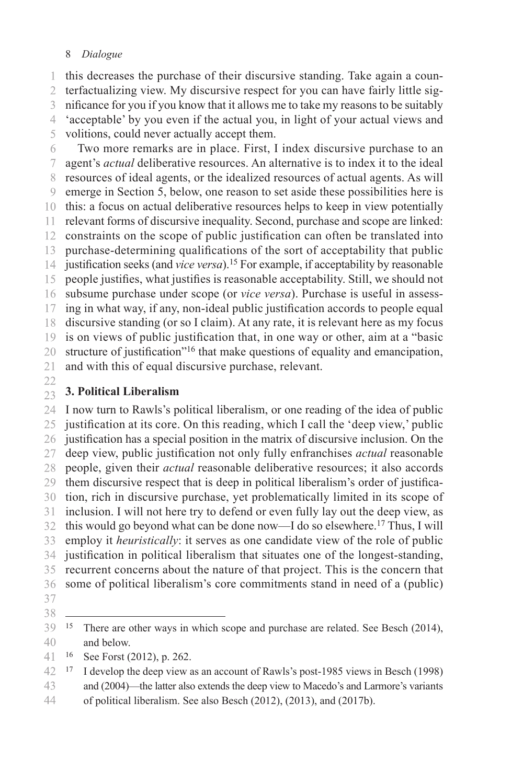this decreases the purchase of their discursive standing. Take again a coun-1 terfactualizing view. My discursive respect for you can have fairly little significance for you if you know that it allows me to take my reasons to be suitably  $3 -$ 'acceptable' by you even if the actual you, in light of your actual views and volitions, could never actually accept them. 5. Two more remarks are in place. First, I index discursive purchase to an 6 7 agent's *actual* deliberative resources. An alternative is to index it to the ideal resources of ideal agents, or the idealized resources of actual agents. As will emerge in Section 5 , below, one reason to set aside these possibilities here is 10 this: a focus on actual deliberative resources helps to keep in view potentially relevant forms of discursive inequality. Second, purchase and scope are linked:  $11$  $12$ constraints on the scope of public justification can often be translated into purchase-determining qualifications of the sort of acceptability that public 13

justification seeks (and *vice versa*).<sup>15</sup> For example, if acceptability by reasonable 14

people justifies, what justifies is reasonable acceptability. Still, we should not 15 16 subsume purchase under scope (or *vice versa* ). Purchase is useful in assess-

17 ing in what way, if any, non-ideal public justification accords to people equal

18 discursive standing (or so I claim). At any rate, it is relevant here as my focus

is on views of public justification that, in one way or other, aim at a "basic 19

structure of justification"<sup>16</sup> that make questions of equality and emancipation, 20

21 and with this of equal discursive purchase, relevant.

22

#### **3. Political Liberalism**  23

24 I now turn to Rawls's political liberalism, or one reading of the idea of public 25 justification at its core. On this reading, which I call the 'deep view,' public 26 justification has a special position in the matrix of discursive inclusion. On the deep view, public justification not only fully enfranchises *actual* reasonable 27 people, given their *actual* reasonable deliberative resources; it also accords 28 29 them discursive respect that is deep in political liberalism's order of justifica- $30$ tion, rich in discursive purchase, yet problematically limited in its scope of inclusion. I will not here try to defend or even fully lay out the deep view, as  $31$ this would go beyond what can be done now—I do so elsewhere. 17 Thus, I will 32 employ it *heuristically*: it serves as one candidate view of the role of public 33 34 justification in political liberalism that situates one of the longest-standing, 35 recurrent concerns about the nature of that project. This is the concern that 36 some of political liberalism's core commitments stand in need of a (public) 37

38

 $41$ <sup>16</sup> See Forst (2012), p. 262.

42 <sup>17</sup> I develop the deep view as an account of Rawls's post-1985 views in Besch (1998)

43 and (2004)—the latter also extends the deep view to Macedo's and Larmore's variants

44 of political liberalism. See also Besch ( 2012 ), (2013), and (2017b).

<sup>39</sup> <sup>15</sup> There are other ways in which scope and purchase are related. See Besch  $(2014)$ , 40 and below.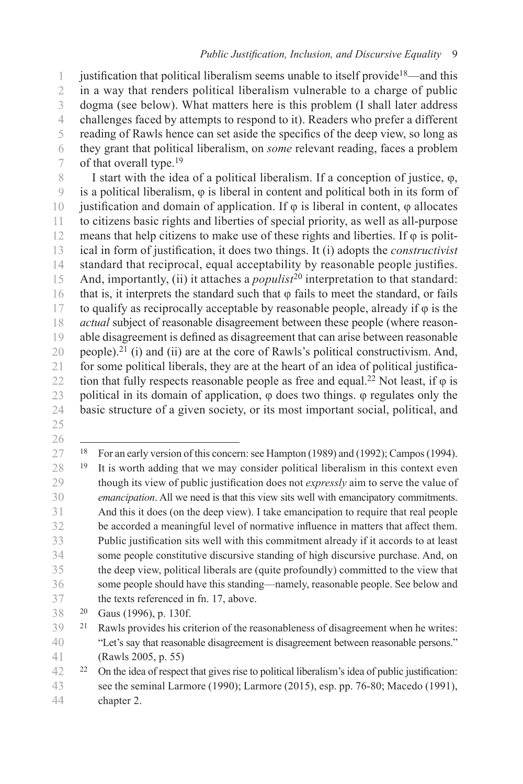justification that political liberalism seems unable to itself provide<sup>18</sup>—and this  $\mathbf{1}$  $\overline{2}$ in a way that renders political liberalism vulnerable to a charge of public 3 dogma (see below). What matters here is this problem (I shall later address  $\overline{4}$ challenges faced by attempts to respond to it). Readers who prefer a different 5 reading of Rawls hence can set aside the specifics of the deep view, so long as 6 they grant that political liberalism, on *some* relevant reading, faces a problem  $\overline{7}$ of that overall type.<sup>19</sup>

8 I start with the idea of a political liberalism. If a conception of justice,  $\varphi$ , 9 is a political liberalism, φ is liberal in content and political both in its form of justification and domain of application. If  $\varphi$  is liberal in content,  $\varphi$  allocates 10 11 to citizens basic rights and liberties of special priority, as well as all-purpose means that help citizens to make use of these rights and liberties. If  $\varphi$  is polit-12 13 ical in form of justification, it does two things. It (i) adopts the *constructivist* 14 standard that reciprocal, equal acceptability by reasonable people justifies. And, importantly, (ii) it attaches a *populist*<sup>20</sup> interpretation to that standard: 15 16 that is, it interprets the standard such that  $\varphi$  fails to meet the standard, or fails to qualify as reciprocally acceptable by reasonable people, already if φ is the 17 18 *actual* subject of reasonable disagreement between these people (where reason-19 able disagreement is defined as disagreement that can arise between reasonable 20 people).<sup>21</sup> (i) and (ii) are at the core of Rawls's political constructivism. And, 21 for some political liberals, they are at the heart of an idea of political justification that fully respects reasonable people as free and equal.<sup>22</sup> Not least, if  $\varphi$  is 22 23 political in its domain of application, φ does two things. φ regulates only the 24 basic structure of a given society, or its most important social, political, and

25 26

38  $20$  Gaus (1996), p. 130f.

<sup>27</sup> <sup>18</sup> For an early version of this concern: see Hampton (1989) and (1992); Campos (1994).

<sup>28</sup> <sup>19</sup> It is worth adding that we may consider political liberalism in this context even 29 though its view of public justification does not *expressly* aim to serve the value of 30 *emancipation*. All we need is that this view sits well with emancipatory commitments. 31 And this it does (on the deep view). I take emancipation to require that real people 32 be accorded a meaningful level of normative influence in matters that affect them. 33 Public justification sits well with this commitment already if it accords to at least 34 some people constitutive discursive standing of high discursive purchase. And, on 35 the deep view, political liberals are (quite profoundly) committed to the view that 36 some people should have this standing—namely, reasonable people. See below and 37 the texts referenced in fn. 17, above.

<sup>39</sup> 21 Rawls provides his criterion of the reasonableness of disagreement when he writes: 40 "Let's say that reasonable disagreement is disagreement between reasonable persons." 41 (Rawls 2005 , p. 55)

<sup>42</sup>  $22$  On the idea of respect that gives rise to political liberalism's idea of public justification: 43 see the seminal Larmore (1990); Larmore (2015), esp. pp. 76-80; Macedo (1991), 44 chapter 2.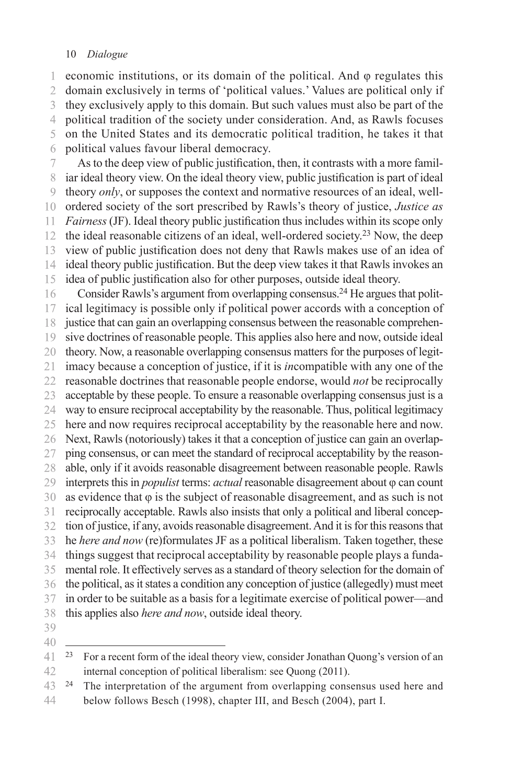economic institutions, or its domain of the political. And φ regulates this 1  $\overline{2}$ domain exclusively in terms of 'political values.' Values are political only if  $3$ they exclusively apply to this domain. But such values must also be part of the political tradition of the society under consideration. And, as Rawls focuses  $4$ on the United States and its democratic political tradition, he takes it that 5 political values favour liberal democracy. 6 7 As to the deep view of public justification, then, it contrasts with a more famil- $\delta$  iar ideal theory view. On the ideal theory view, public justification is part of ideal theory *only*, or supposes the context and normative resources of an ideal, well-9 10 ordered society of the sort prescribed by Rawls's theory of justice, *Justice as Fairness* (JF). Ideal theory public justification thus includes within its scope only  $11$ the ideal reasonable citizens of an ideal, well-ordered society. 23 Now, the deep  $12$ view of public justification does not deny that Rawls makes use of an idea of  $13 -$ 

 $14$ ideal theory public justification. But the deep view takes it that Rawls invokes an

15 idea of public justification also for other purposes, outside ideal theory.

16 Consider Rawls's argument from overlapping consensus. 24 He argues that polit-17 ical legitimacy is possible only if political power accords with a conception of justice that can gain an overlapping consensus between the reasonable comprehen-18 sive doctrines of reasonable people. This applies also here and now, outside ideal 19 20 theory. Now, a reasonable overlapping consensus matters for the purposes of legit-21 imacy because a conception of justice, if it is *in* compatible with any one of the  $22$ reasonable doctrines that reasonable people endorse, would *not* be reciprocally 23 acceptable by these people. To ensure a reasonable overlapping consensus just is a way to ensure reciprocal acceptability by the reasonable. Thus, political legitimacy 24 25 here and now requires reciprocal acceptability by the reasonable here and now. 26 Next, Rawls (notoriously) takes it that a conception of justice can gain an overlapping consensus, or can meet the standard of reciprocal acceptability by the reason-27 28 able, only if it avoids reasonable disagreement between reasonable people. Rawls 29 interprets this in *populist* terms: *actual* reasonable disagreement about φ can count 30 as evidence that  $\varphi$  is the subject of reasonable disagreement, and as such is not 31 reciprocally acceptable. Rawls also insists that only a political and liberal concep-32 tion of justice, if any, avoids reasonable disagreement. And it is for this reasons that 33 he *here and now* (re)formulates JF as a political liberalism. Taken together, these 34 things suggest that reciprocal acceptability by reasonable people plays a funda-35 mental role. It effectively serves as a standard of theory selection for the domain of 36 the political, as it states a condition any conception of justice (allegedly) must meet in order to be suitable as a basis for a legitimate exercise of political power—and 37 this applies also *here and now* , outside ideal theory. 38 39

- 40
- $41$ 23 For a recent form of the ideal theory view, consider Jonathan Quong's version of an 42 internal conception of political liberalism: see Quong (2011).
- 43 <sup>24</sup> The interpretation of the argument from overlapping consensus used here and 44 below follows Besch (1998), chapter III, and Besch (2004), part I.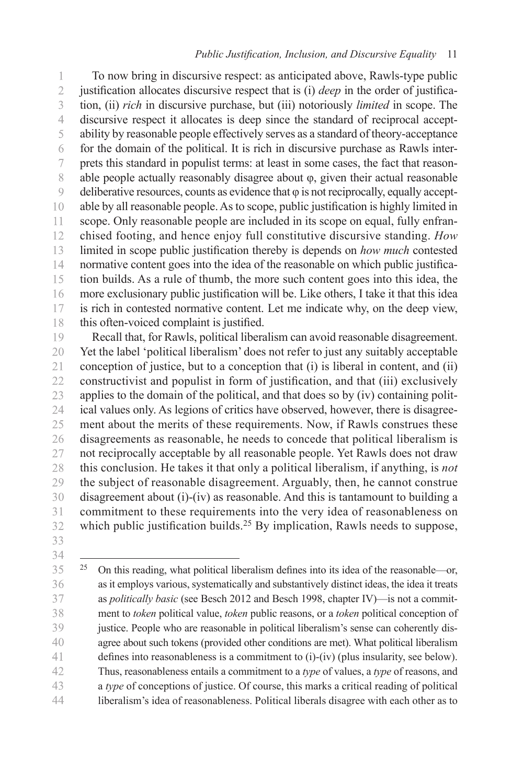$\mathbb{1}$  To now bring in discursive respect: as anticipated above, Rawls-type public  $\overline{2}$ justification allocates discursive respect that is (i) *deep* in the order of justifica-3 tion, (ii) *rich* in discursive purchase, but (iii) notoriously *limited* in scope. The  $\overline{4}$ discursive respect it allocates is deep since the standard of reciprocal accept-5 ability by reasonable people effectively serves as a standard of theory-acceptance 6 for the domain of the political. It is rich in discursive purchase as Rawls inter- $\boldsymbol{7}$ prets this standard in populist terms: at least in some cases, the fact that reason-8 able people actually reasonably disagree about  $\varphi$ , given their actual reasonable 9 deliberative resources, counts as evidence that  $\varphi$  is not reciprocally, equally acceptable by all reasonable people. As to scope, public justification is highly limited in 10 11 scope. Only reasonable people are included in its scope on equal, fully enfranchised footing, and hence enjoy full constitutive discursive standing. *How* 12 13 limited in scope public justification thereby is depends on *how much* contested 14 normative content goes into the idea of the reasonable on which public justifica-15 tion builds. As a rule of thumb, the more such content goes into this idea, the 16 more exclusionary public justification will be. Like others, I take it that this idea 17 is rich in contested normative content. Let me indicate why, on the deep view, 18 this often-voiced complaint is justified.

19 Recall that, for Rawls, political liberalism can avoid reasonable disagreement. 20 Yet the label 'political liberalism' does not refer to just any suitably acceptable 21 conception of justice, but to a conception that (i) is liberal in content, and (ii) constructivist and populist in form of justification, and that (iii) exclusively 22 23 applies to the domain of the political, and that does so by (iv) containing polit-24 ical values only. As legions of critics have observed, however, there is disagree-25 ment about the merits of these requirements. Now, if Rawls construes these 26 disagreements as reasonable, he needs to concede that political liberalism is 27 not reciprocally acceptable by all reasonable people. Yet Rawls does not draw 28 this conclusion. He takes it that only a political liberalism, if anything, is *not* 29 the subject of reasonable disagreement. Arguably, then, he cannot construe disagreement about (i)-(iv) as reasonable. And this is tantamount to building a 30 31 commitment to these requirements into the very idea of reasonableness on 32 which public justification builds.<sup>25</sup> By implication, Rawls needs to suppose,

<sup>&</sup>lt;sup>25</sup> On this reading, what political liberalism defines into its idea of the reasonable—or, 35 36 as it employs various, systematically and substantively distinct ideas, the idea it treats 37 as *politically basic* (see Besch 2012 and Besch 1998, chapter IV)—is not a commit-38 ment to *token* political value, *token* public reasons, or a *token* political conception of 39 justice. People who are reasonable in political liberalism's sense can coherently dis-40 agree about such tokens (provided other conditions are met). What political liberalism  $41$ defines into reasonableness is a commitment to (i)-(iv) (plus insularity, see below). 42 Thus, reasonableness entails a commitment to a *type* of values, a *type* of reasons, and 43 a *type* of conceptions of justice. Of course, this marks a critical reading of political 44 liberalism's idea of reasonableness. Political liberals disagree with each other as to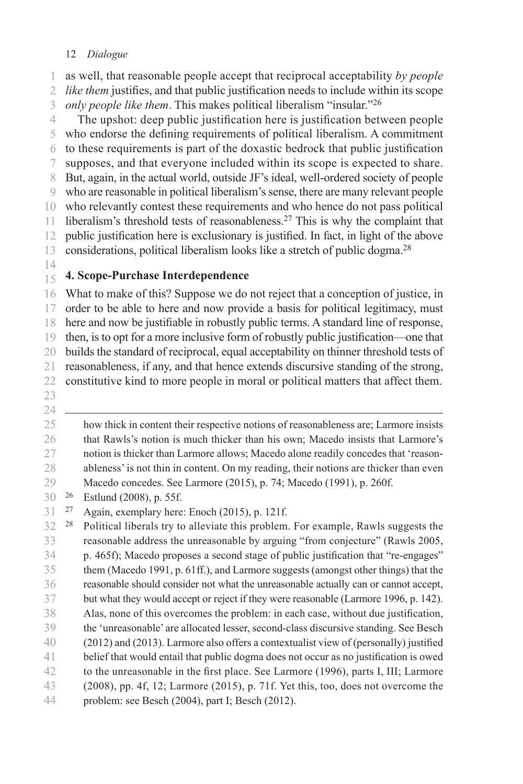as well, that reasonable people accept that reciprocal acceptability *by people*  1 2 *like them* justifies, and that public justification needs to include within its scope

 $3$ *only people like them.* This makes political liberalism "insular."<sup>26</sup>

 $\overline{4}$ The upshot: deep public justification here is justification between people who endorse the defining requirements of political liberalism. A commitment  $5$ to these requirements is part of the doxastic bedrock that public justification 6 supposes, and that everyone included within its scope is expected to share. 7 But, again, in the actual world, outside JF's ideal, well-ordered society of people who are reasonable in political liberalism's sense, there are many relevant people who relevantly contest these requirements and who hence do not pass political 10 11 liberalism's threshold tests of reasonableness.<sup>27</sup> This is why the complaint that public justification here is exclusionary is justified. In fact, in light of the above 12 13 considerations, political liberalism looks like a stretch of public dogma. 28  $14$ 

#### **4. Scope-Purchase Interdependence**  15

 What to make of this? Suppose we do not reject that a conception of justice, in 17 order to be able to here and now provide a basis for political legitimacy, must 18 here and now be justifiable in robustly public terms. A standard line of response, then, is to opt for a more inclusive form of robustly public justification—one that  $19$ builds the standard of reciprocal, equal acceptability on thinner threshold tests of 20 21 reasonableness, if any, and that hence extends discursive standing of the strong, constitutive kind to more people in moral or political matters that affect them. 22 23

24

 $30^{26}$  Estlund (2008), p. 55f.

31  $27$  Again, exemplary here: Enoch (2015), p. 121f.

32 28 Political liberals try to alleviate this problem. For example, Rawls suggests the 33 reasonable address the unreasonable by arguing "from conjecture" (Rawls 2005, 34 p. 465f); Macedo proposes a second stage of public justification that "re-engages" 35 them (Macedo 1991 , p. 61ff.), and Larmore suggests (amongst other things) that the 36 reasonable should consider not what the unreasonable actually can or cannot accept, 37 but what they would accept or reject if they were reasonable (Larmore 1996, p. 142). 38 Alas, none of this overcomes the problem: in each case, without due justification, 39 the 'unreasonable' are allocated lesser, second-class discursive standing. See Besch 40  $(2012)$  and  $(2013)$ . Larmore also offers a contextualist view of (personally) justified 41 belief that would entail that public dogma does not occur as no justification is owed 42 to the unreasonable in the first place. See Larmore (1996), parts I, III; Larmore 43  $(2008)$ , pp. 4f, 12; Larmore  $(2015)$ , p. 71f. Yet this, too, does not overcome the

44 problem: see Besch (2004), part I; Besch (2012).

<sup>25</sup> how thick in content their respective notions of reasonableness are; Larmore insists 26 that Rawls's notion is much thicker than his own; Macedo insists that Larmore's 27 notion is thicker than Larmore allows; Macedo alone readily concedes that 'reason-28 ableness' is not thin in content. On my reading, their notions are thicker than even 29 Macedo concedes. See Larmore (2015), p. 74; Macedo (1991), p. 260f.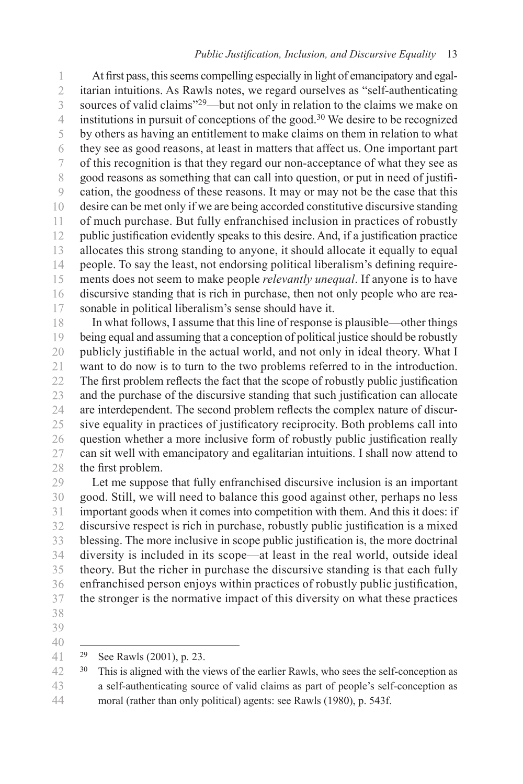At first pass, this seems compelling especially in light of emancipatory and egal- $\mathbb{1}$  $\overline{2}$ itarian intuitions. As Rawls notes, we regard ourselves as "self-authenticating sources of valid claims" <sup>29</sup> —but not only in relation to the claims we make on 3 institutions in pursuit of conceptions of the good. 30 We desire to be recognized  $\overline{4}$ 5 by others as having an entitlement to make claims on them in relation to what 6 they see as good reasons, at least in matters that affect us. One important part  $\boldsymbol{7}$ of this recognition is that they regard our non-acceptance of what they see as 8 good reasons as something that can call into question, or put in need of justifi-9 cation, the goodness of these reasons. It may or may not be the case that this desire can be met only if we are being accorded constitutive discursive standing 10 11 of much purchase. But fully enfranchised inclusion in practices of robustly 12 public justification evidently speaks to this desire. And, if a justification practice 13 allocates this strong standing to anyone, it should allocate it equally to equal 14 people. To say the least, not endorsing political liberalism's defining require-15 ments does not seem to make people *relevantly unequal* . If anyone is to have 16 discursive standing that is rich in purchase, then not only people who are rea-17 sonable in political liberalism's sense should have it.

18 In what follows, I assume that this line of response is plausible—other things 19 being equal and assuming that a conception of political justice should be robustly 20 publicly justifiable in the actual world, and not only in ideal theory. What I 21 want to do now is to turn to the two problems referred to in the introduction. 22 The first problem reflects the fact that the scope of robustly public justification 23 and the purchase of the discursive standing that such justification can allocate 24 are interdependent. The second problem reflects the complex nature of discur-25 sive equality in practices of justificatory reciprocity. Both problems call into 26 question whether a more inclusive form of robustly public justification really 27 can sit well with emancipatory and egalitarian intuitions. I shall now attend to 28 the first problem.

29 Let me suppose that fully enfranchised discursive inclusion is an important good. Still, we will need to balance this good against other, perhaps no less 30 31 important goods when it comes into competition with them. And this it does: if 32 discursive respect is rich in purchase, robustly public justification is a mixed 33 blessing. The more inclusive in scope public justification is, the more doctrinal 34 diversity is included in its scope—at least in the real world, outside ideal 35 theory. But the richer in purchase the discursive standing is that each fully 36 enfranchised person enjoys within practices of robustly public justification, 37 the stronger is the normative impact of this diversity on what these practices 38

- 
- 39 40

 $41$ <sup>29</sup> See Rawls (2001), p. 23.

<sup>30</sup> This is aligned with the views of the earlier Rawls, who sees the self-conception as 42 43 a self-authenticating source of valid claims as part of people's self-conception as 44 moral (rather than only political) agents: see Rawls (1980), p. 543f.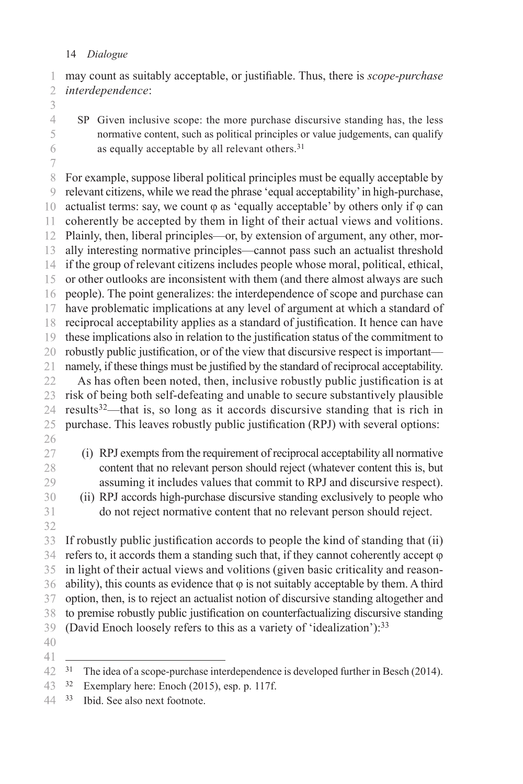may count as suitably acceptable, or justifiable. Thus, there is *scope-purchase* 1  $\overline{2}$ *interdependence* :

3  $\overline{4}$ 

 SP Given inclusive scope: the more purchase discursive standing has, the less normative content, such as political principles or value judgements, can qualify as equally acceptable by all relevant others.<sup>31</sup>

6 7

5

8 For example, suppose liberal political principles must be equally acceptable by relevant citizens, while we read the phrase 'equal acceptability' in high-purchase, 9 actualist terms: say, we count  $\varphi$  as 'equally acceptable' by others only if  $\varphi$  can 10 coherently be accepted by them in light of their actual views and volitions.  $11$ Plainly, then, liberal principles—or, by extension of argument, any other, morally interesting normative principles—cannot pass such an actualist threshold if the group of relevant citizens includes people whose moral, political, ethical, or other outlooks are inconsistent with them (and there almost always are such 15 16 people). The point generalizes: the interdependence of scope and purchase can  $17<sup>7</sup>$ have problematic implications at any level of argument at which a standard of 18 reciprocal acceptability applies as a standard of justification. It hence can have 19 these implications also in relation to the justification status of the commitment to robustly public justification, or of the view that discursive respect is important— 20 21 namely, if these things must be justified by the standard of reciprocal acceptability. 22 As has often been noted, then, inclusive robustly public justification is at 23 risk of being both self-defeating and unable to secure substantively plausible results 32 —that is, so long as it accords discursive standing that is rich in 24 25 purchase. This leaves robustly public justification (RPJ) with several options: 26 27 (i) RPJ exempts from the requirement of reciprocal acceptability all normative 28 content that no relevant person should reject (whatever content this is, but assuming it includes values that commit to RPJ and discursive respect). 29 30 (ii) RPJ accords high-purchase discursive standing exclusively to people who 31 do not reject normative content that no relevant person should reject. 32 33 If robustly public justification accords to people the kind of standing that (ii) 34 refers to, it accords them a standing such that, if they cannot coherently accept φ 35 in light of their actual views and volitions (given basic criticality and reason-36 ability), this counts as evidence that  $\varphi$  is not suitably acceptable by them. A third option, then, is to reject an actualist notion of discursive standing altogether and 37 to premise robustly public justification on counterfactualizing discursive standing 38 (David Enoch loosely refers to this as a variety of 'idealization'): 33 39

- 40
- $41$

33 Ibid. See also next footnote. 44

 $31$  The idea of a scope-purchase interdependence is developed further in Besch (2014). 42

<sup>43</sup>  $32$  Exemplary here: Enoch (2015), esp. p. 117f.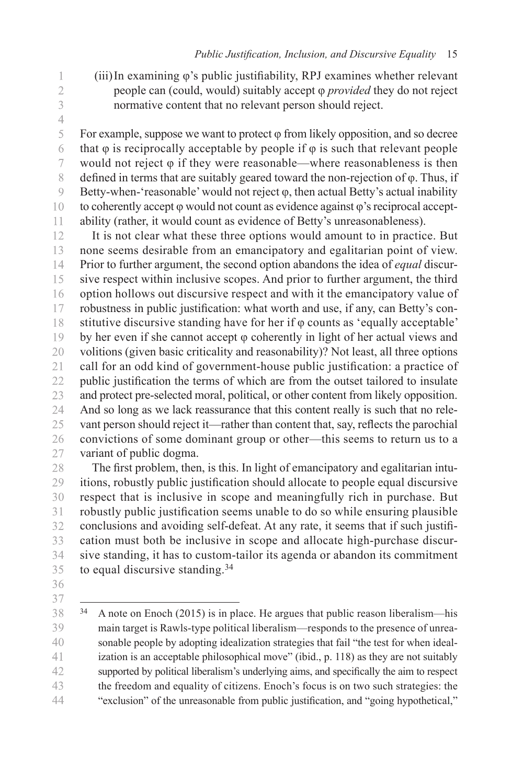$(iii)$  In examining  $\varphi$ 's public justifiability, RPJ examines whether relevant people can (could, would) suitably accept φ *provided* they do not reject normative content that no relevant person should reject.

 $\overline{3}$  $\overline{4}$ 

 $\mathbf{1}$  $\overline{2}$ 

5 For example, suppose we want to protect  $\varphi$  from likely opposition, and so decree 6 that  $\varphi$  is reciprocally acceptable by people if  $\varphi$  is such that relevant people  $\boldsymbol{7}$ would not reject  $\varphi$  if they were reasonable—where reasonableness is then 8 defined in terms that are suitably geared toward the non-rejection of  $\varphi$ . Thus, if 9 Betty-when-'reasonable' would not reject  $\varphi$ , then actual Betty's actual inability  $10<sup>1</sup>$ to coherently accept  $\varphi$  would not count as evidence against  $\varphi$ 's reciprocal accept-11 ability (rather, it would count as evidence of Betty's unreasonableness).

12 It is not clear what these three options would amount to in practice. But 13 none seems desirable from an emancipatory and egalitarian point of view. 14 Prior to further argument, the second option abandons the idea of *equal* discur-15 sive respect within inclusive scopes. And prior to further argument, the third 16 option hollows out discursive respect and with it the emancipatory value of 17 robustness in public justification: what worth and use, if any, can Betty's con-18 stitutive discursive standing have for her if φ counts as 'equally acceptable' 19 by her even if she cannot accept φ coherently in light of her actual views and 20 volitions (given basic criticality and reasonability)? Not least, all three options 21 call for an odd kind of government-house public justification: a practice of 22 public justification the terms of which are from the outset tailored to insulate 23 and protect pre-selected moral, political, or other content from likely opposition. 24 And so long as we lack reassurance that this content really is such that no rele-25 vant person should reject it—rather than content that, say, reflects the parochial 26 convictions of some dominant group or other—this seems to return us to a 27 variant of public dogma.

28 The first problem, then, is this. In light of emancipatory and egalitarian intu-29 itions, robustly public justification should allocate to people equal discursive respect that is inclusive in scope and meaningfully rich in purchase. But 30 31 robustly public justification seems unable to do so while ensuring plausible 32 conclusions and avoiding self-defeat. At any rate, it seems that if such justifi-33 cation must both be inclusive in scope and allocate high-purchase discur-34 sive standing, it has to custom-tailor its agenda or abandon its commitment 35 to equal discursive standing. 34

- 36 37
- $34$  A note on Enoch (2015) is in place. He argues that public reason liberalism—his 38 39 main target is Rawls-type political liberalism—responds to the presence of unrea-40 sonable people by adopting idealization strategies that fail "the test for when ideal- $41$ ization is an acceptable philosophical move" (ibid., p. 118) as they are not suitably 42 supported by political liberalism's underlying aims, and specifically the aim to respect 43 the freedom and equality of citizens. Enoch's focus is on two such strategies: the "exclusion" of the unreasonable from public justification, and "going hypothetical," 44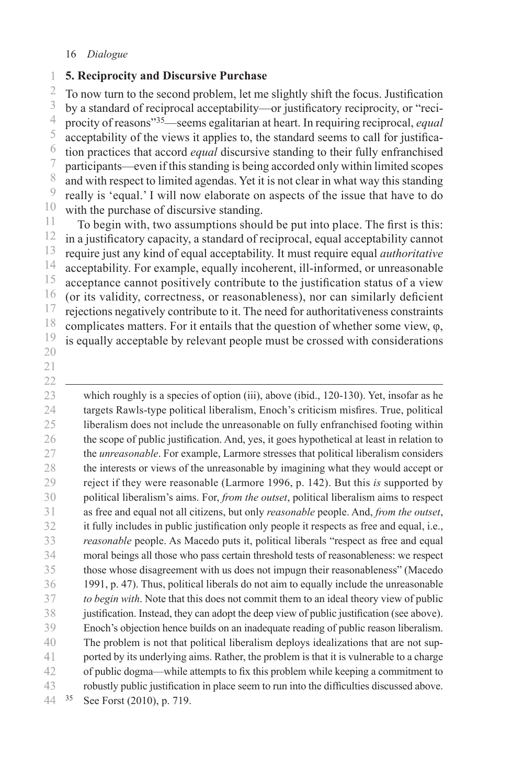#### **5. Reciprocity and Discursive Purchase**  1

 $\overline{2}$ To now turn to the second problem, let me slightly shift the focus. Justification  $\mathfrak{Z}$ by a standard of reciprocal acceptability—or justificatory reciprocity, or "reci- $\overline{4}$ procity of reasons<sup>"35</sup>—seems egalitarian at heart. In requiring reciprocal, *equal* 5 acceptability of the views it applies to, the standard seems to call for justifica-6 tion practices that accord *equal* discursive standing to their fully enfranchised  $\boldsymbol{7}$ participants—even if this standing is being accorded only within limited scopes 8 and with respect to limited agendas. Yet it is not clear in what way this standing  $\overline{9}$ really is 'equal.' I will now elaborate on aspects of the issue that have to do  $10$ with the purchase of discursive standing.

11 To begin with, two assumptions should be put into place. The first is this: 12 in a justificatory capacity, a standard of reciprocal, equal acceptability cannot 13 require just any kind of equal acceptability. It must require equal *authoritative* 14 acceptability. For example, equally incoherent, ill-informed, or unreasonable 15 acceptance cannot positively contribute to the justification status of a view 16 (or its validity, correctness, or reasonableness), nor can similarly deficient 17 rejections negatively contribute to it. The need for authoritativeness constraints 18 complicates matters. For it entails that the question of whether some view,  $\varphi$ , 19 is equally acceptable by relevant people must be crossed with considerations 20

21 22

23 which roughly is a species of option (iii), above (ibid., 120-130). Yet, insofar as he 24 targets Rawls-type political liberalism, Enoch's criticism misfires. True, political 25 liberalism does not include the unreasonable on fully enfranchised footing within 26 the scope of public justification. And, yes, it goes hypothetical at least in relation to 27 the *unreasonable* . For example, Larmore stresses that political liberalism considers 28 the interests or views of the unreasonable by imagining what they would accept or 29 reject if they were reasonable (Larmore 1996 , p. 142). But this *is* supported by 30 political liberalism's aims. For, *from the outset* , political liberalism aims to respect 31 as free and equal not all citizens, but only *reasonable* people. And, *from the outset* , 32 it fully includes in public justification only people it respects as free and equal, i.e., 33 *reasonable* people. As Macedo puts it, political liberals "respect as free and equal 34 moral beings all those who pass certain threshold tests of reasonableness: we respect 35 those whose disagreement with us does not impugn their reasonableness" (Macedo 36 1991 , p. 47). Thus, political liberals do not aim to equally include the unreasonable 37 *to begin with* . Note that this does not commit them to an ideal theory view of public 38 justification. Instead, they can adopt the deep view of public justification (see above). Enoch's objection hence builds on an inadequate reading of public reason liberalism. 39 40 The problem is not that political liberalism deploys idealizations that are not sup-41 ported by its underlying aims. Rather, the problem is that it is vulnerable to a charge 42 of public dogma—while attempts to fix this problem while keeping a commitment to 43 robustly public justification in place seem to run into the difficulties discussed above. 35 See Forst (2010), p. 719. 44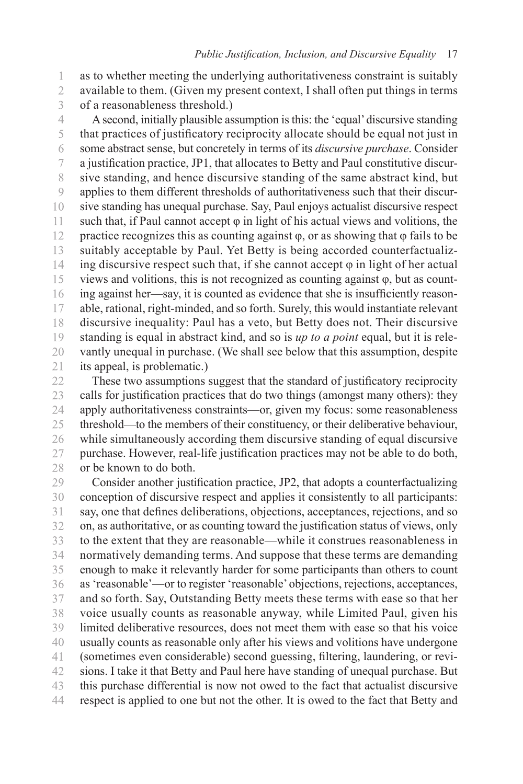as to whether meeting the underlying authoritativeness constraint is suitably  $\mathbf{1}$ 

 $\overline{2}$ available to them. (Given my present context, I shall often put things in terms of a reasonableness threshold.)  $\overline{3}$ 

 A second, initially plausible assumption is this: the 'equal' discursive standing  $\overline{4}$ 5 that practices of justificatory reciprocity allocate should be equal not just in 6 some abstract sense, but concretely in terms of its *discursive purchase* . Consider  $\boldsymbol{7}$ a justification practice, JP1, that allocates to Betty and Paul constitutive discur-8 sive standing, and hence discursive standing of the same abstract kind, but 9 applies to them different thresholds of authoritativeness such that their discur-10 sive standing has unequal purchase. Say, Paul enjoys actualist discursive respect 11 such that, if Paul cannot accept  $\varphi$  in light of his actual views and volitions, the 12 practice recognizes this as counting against  $\varphi$ , or as showing that  $\varphi$  fails to be 13 suitably acceptable by Paul. Yet Betty is being accorded counterfactualiz-14 ing discursive respect such that, if she cannot accept  $\varphi$  in light of her actual 15 views and volitions, this is not recognized as counting against  $\varphi$ , but as count-16 ing against her—say, it is counted as evidence that she is insufficiently reason-17 able, rational, right-minded, and so forth. Surely, this would instantiate relevant 18 discursive inequality: Paul has a veto, but Betty does not. Their discursive 19 standing is equal in abstract kind, and so is *up to a point* equal, but it is rele-20 vantly unequal in purchase. (We shall see below that this assumption, despite 21 its appeal, is problematic.)

22 These two assumptions suggest that the standard of justificatory reciprocity 23 calls for justification practices that do two things (amongst many others): they 24 apply authoritativeness constraints—or, given my focus: some reasonableness 25 threshold—to the members of their constituency, or their deliberative behaviour, 26 while simultaneously according them discursive standing of equal discursive 27 purchase. However, real-life justification practices may not be able to do both, 28 or be known to do both.

29 Consider another justification practice, JP2, that adopts a counterfactualizing 30 conception of discursive respect and applies it consistently to all participants: 31 say, one that defines deliberations, objections, acceptances, rejections, and so 32 on, as authoritative, or as counting toward the justification status of views, only 33 to the extent that they are reasonable—while it construes reasonableness in 34 normatively demanding terms. And suppose that these terms are demanding 35 enough to make it relevantly harder for some participants than others to count 36 as 'reasonable'—or to register 'reasonable' objections, rejections, acceptances, 37 and so forth. Say, Outstanding Betty meets these terms with ease so that her 38 voice usually counts as reasonable anyway, while Limited Paul, given his 39 limited deliberative resources, does not meet them with ease so that his voice usually counts as reasonable only after his views and volitions have undergone 40 41 (sometimes even considerable) second guessing, filtering, laundering, or revisions. I take it that Betty and Paul here have standing of unequal purchase. But 42 43 this purchase differential is now not owed to the fact that actualist discursive respect is applied to one but not the other. It is owed to the fact that Betty and 44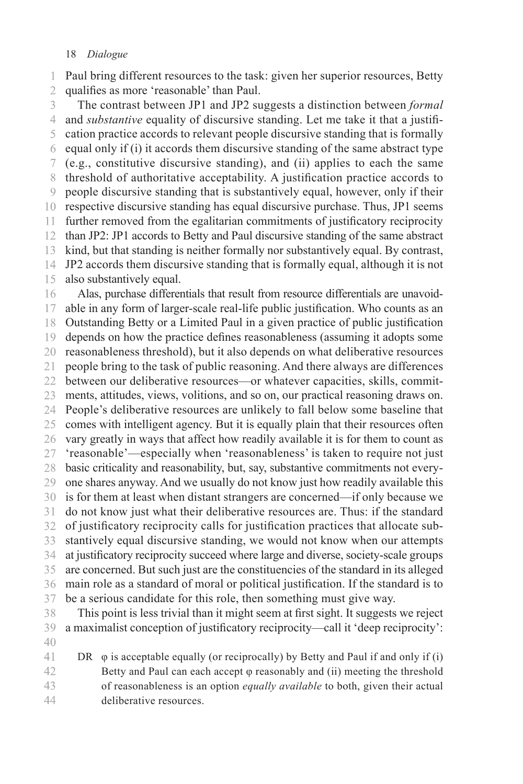Paul bring different resources to the task: given her superior resources, Betty 1  $\overline{2}$ qualifies as more 'reasonable' than Paul.

3 The contrast between JP1 and JP2 suggests a distinction between *formal* 4 and *substantive* equality of discursive standing. Let me take it that a justification practice accords to relevant people discursive standing that is formally 5 equal only if (i) it accords them discursive standing of the same abstract type 6 (e.g., constitutive discursive standing), and (ii) applies to each the same  $\tau$ 8 threshold of authoritative acceptability. A justification practice accords to people discursive standing that is substantively equal, however, only if their 9 respective discursive standing has equal discursive purchase. Thus, JP1 seems 11 further removed from the egalitarian commitments of justificatory reciprocity than JP2: JP1 accords to Betty and Paul discursive standing of the same abstract 13 kind, but that standing is neither formally nor substantively equal. By contrast, 14 JP2 accords them discursive standing that is formally equal, although it is not also substantively equal. 15  $16$  Alas, purchase differentials that result from resource differentials are unavoidable in any form of larger-scale real-life public justification. Who counts as an 17 18 Outstanding Betty or a Limited Paul in a given practice of public justification depends on how the practice defines reasonableness (assuming it adopts some  $19$ reasonableness threshold), but it also depends on what deliberative resources 20 21 people bring to the task of public reasoning. And there always are differences between our deliberative resources—or whatever capacities, skills, commit- $22 23$ ments, attitudes, views, volitions, and so on, our practical reasoning draws on. People's deliberative resources are unlikely to fall below some baseline that 24 comes with intelligent agency. But it is equally plain that their resources often 25 26 vary greatly in ways that affect how readily available it is for them to count as 'reasonable'—especially when 'reasonableness' is taken to require not just 27 basic criticality and reasonability, but, say, substantive commitments not every-28 one shares anyway. And we usually do not know just how readily available this 29 is for them at least when distant strangers are concerned—if only because we  $30 31$ do not know just what their deliberative resources are. Thus: if the standard of justificatory reciprocity calls for justification practices that allocate sub- $32<sup>°</sup>$ 33 stantively equal discursive standing, we would not know when our attempts at justificatory reciprocity succeed where large and diverse, society-scale groups 34 are concerned. But such just are the constituencies of the standard in its alleged  $35 -$ 36 main role as a standard of moral or political justification. If the standard is to be a serious candidate for this role, then something must give way. 37 38 This point is less trivial than it might seem at first sight. It suggests we reject a maximalist conception of justificatory reciprocity—call it 'deep reciprocity': 39 40

 $41$ DR  $\varphi$  is acceptable equally (or reciprocally) by Betty and Paul if and only if (i) Betty and Paul can each accept φ reasonably and (ii) meeting the threshold 42 43 of reasonableness is an option *equally available* to both, given their actual 44 deliberative resources.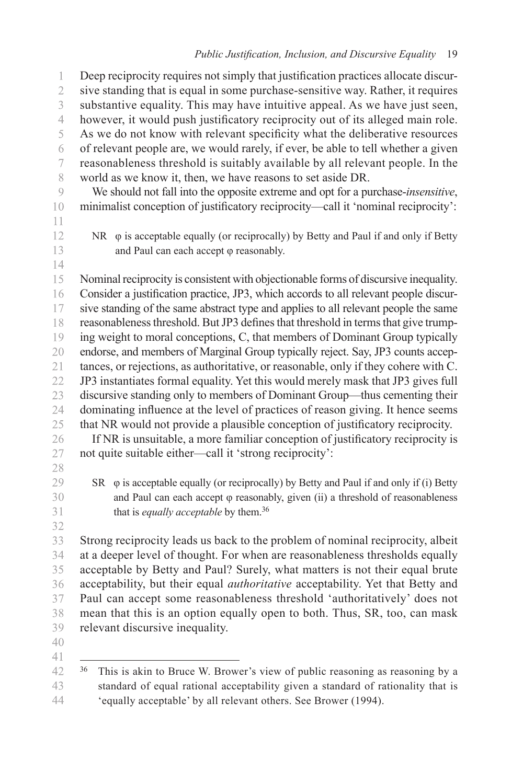Deep reciprocity requires not simply that justification practices allocate discur- $\mathbf{1}$  $\overline{2}$ sive standing that is equal in some purchase-sensitive way. Rather, it requires 3 substantive equality. This may have intuitive appeal. As we have just seen, however, it would push justificatory reciprocity out of its alleged main role.  $\overline{4}$ 5 As we do not know with relevant specificity what the deliberative resources of relevant people are, we would rarely, if ever, be able to tell whether a given 6  $\tau$ reasonableness threshold is suitably available by all relevant people. In the 8 world as we know it, then, we have reasons to set aside DR. 9 We should not fall into the opposite extreme and opt for a purchase-*insensitive*, minimalist conception of justificatory reciprocity—call it 'nominal reciprocity':

- 10 11
- 12 13

 NR φ is acceptable equally (or reciprocally) by Betty and Paul if and only if Betty and Paul can each accept φ reasonably.

14 15 Nominal reciprocity is consistent with objectionable forms of discursive inequality. 16 Consider a justification practice, JP3, which accords to all relevant people discursive standing of the same abstract type and applies to all relevant people the same 17 18 reasonableness threshold. But JP3 defines that threshold in terms that give trump-19 ing weight to moral conceptions, C, that members of Dominant Group typically 20 endorse, and members of Marginal Group typically reject. Say, JP3 counts accep-21 tances, or rejections, as authoritative, or reasonable, only if they cohere with C. 22 JP3 instantiates formal equality. Yet this would merely mask that JP3 gives full 23 discursive standing only to members of Dominant Group—thus cementing their 24 dominating influence at the level of practices of reason giving. It hence seems 25 that NR would not provide a plausible conception of justificatory reciprocity.

26 If NR is unsuitable, a more familiar conception of justificatory reciprocity is 27 not quite suitable either—call it 'strong reciprocity':

- SR  $\varphi$  is acceptable equally (or reciprocally) by Betty and Paul if and only if (i) Betty and Paul can each accept φ reasonably, given (ii) a threshold of reasonableness that is *equally acceptable* by them. 36
- 33 Strong reciprocity leads us back to the problem of nominal reciprocity, albeit 34 at a deeper level of thought. For when are reasonableness thresholds equally 35 acceptable by Betty and Paul? Surely, what matters is not their equal brute 36 acceptability, but their equal *authoritative* acceptability. Yet that Betty and 37 Paul can accept some reasonableness threshold 'authoritatively' does not 38 mean that this is an option equally open to both. Thus, SR, too, can mask relevant discursive inequality. 39
- 40

<sup>42</sup> 36 This is akin to Bruce W. Brower's view of public reasoning as reasoning by a 43 standard of equal rational acceptability given a standard of rationality that is 'equally acceptable' by all relevant others. See Brower (1994). 44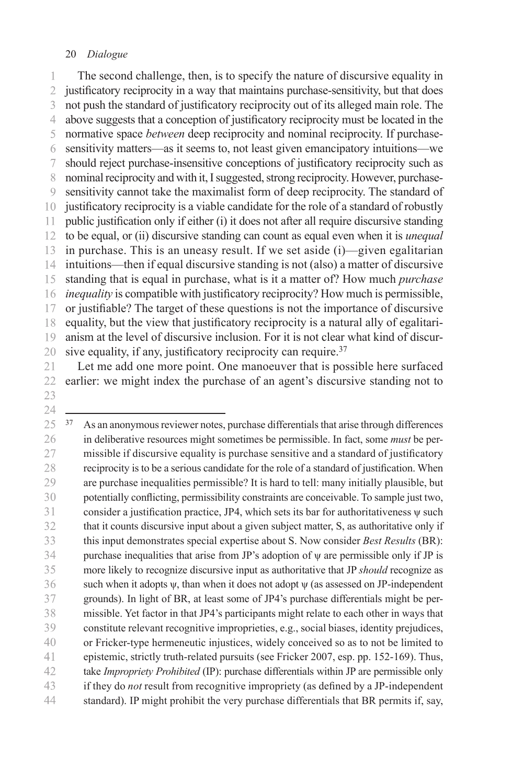The second challenge, then, is to specify the nature of discursive equality in 1  $\overline{2}$ justificatory reciprocity in a way that maintains purchase-sensitivity, but that does 3 not push the standard of justificatory reciprocity out of its alleged main role. The above suggests that a conception of justificatory reciprocity must be located in the  $\overline{4}$ normative space *between* deep reciprocity and nominal reciprocity. If purchase-5 sensitivity matters—as it seems to, not least given emancipatory intuitions—we 6 should reject purchase-insensitive conceptions of justificatory reciprocity such as  $\tau$ nominal reciprocity and with it, I suggested, strong reciprocity. However, purchase-8 sensitivity cannot take the maximalist form of deep reciprocity. The standard of 9 justificatory reciprocity is a viable candidate for the role of a standard of robustly 10 11 public justification only if either (i) it does not after all require discursive standing to be equal, or (ii) discursive standing can count as equal even when it is *unequal* 12 13 in purchase. This is an uneasy result. If we set aside (i)—given egalitarian intuitions—then if equal discursive standing is not (also) a matter of discursive 14 standing that is equal in purchase, what is it a matter of? How much *purchase*  15 16 *inequality* is compatible with justificatory reciprocity? How much is permissible, or justifi able? The target of these questions is not the importance of discursive 17 18 equality, but the view that justificatory reciprocity is a natural ally of egalitarianism at the level of discursive inclusion. For it is not clear what kind of discur- $19$ sive equality, if any, justificatory reciprocity can require.  $37$ 20

21 Let me add one more point. One manoeuver that is possible here surfaced 22 earlier: we might index the purchase of an agent's discursive standing not to 23

<sup>37</sup> As an anonymous reviewer notes, purchase differentials that arise through differences 25 26 in deliberative resources might sometimes be permissible. In fact, some *must* be per-27 missible if discursive equality is purchase sensitive and a standard of justificatory 28 reciprocity is to be a serious candidate for the role of a standard of justification. When 29 are purchase inequalities permissible? It is hard to tell: many initially plausible, but 30 potentially conflicting, permissibility constraints are conceivable. To sample just two, 31 consider a justification practice, JP4, which sets its bar for authoritativeness  $\psi$  such 32 that it counts discursive input about a given subject matter, S, as authoritative only if 33 this input demonstrates special expertise about S. Now consider *Best Results* (BR): 34 purchase inequalities that arise from JP's adoption of ψ are permissible only if JP is 35 more likely to recognize discursive input as authoritative that JP *should* recognize as 36 such when it adopts  $\psi$ , than when it does not adopt  $\psi$  (as assessed on JP-independent 37 grounds). In light of BR, at least some of JP4's purchase differentials might be per-38 missible. Yet factor in that JP4's participants might relate to each other in ways that constitute relevant recognitive improprieties, e.g., social biases, identity prejudices, 39 40 or Fricker-type hermeneutic injustices, widely conceived so as to not be limited to epistemic, strictly truth-related pursuits (see Fricker 2007, esp. pp. 152-169). Thus, 41 take *Impropriety Prohibited* (IP): purchase differentials within JP are permissible only 42 43 if they do *not* result from recognitive impropriety (as defined by a JP-independent 44 standard). IP might prohibit the very purchase differentials that BR permits if, say,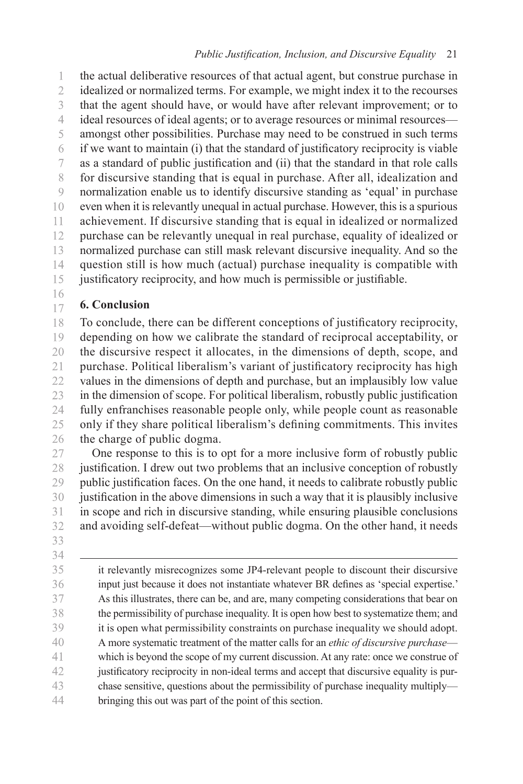the actual deliberative resources of that actual agent, but construe purchase in 1  $\overline{2}$ idealized or normalized terms. For example, we might index it to the recourses 3 that the agent should have, or would have after relevant improvement; or to  $\overline{4}$ ideal resources of ideal agents; or to average resources or minimal resources— 5 amongst other possibilities. Purchase may need to be construed in such terms 6 if we want to maintain (i) that the standard of justificatory reciprocity is viable  $\overline{7}$ as a standard of public justification and (ii) that the standard in that role calls 8 for discursive standing that is equal in purchase. After all, idealization and 9 normalization enable us to identify discursive standing as 'equal' in purchase even when it is relevantly unequal in actual purchase. However, this is a spurious 10 11 achievement. If discursive standing that is equal in idealized or normalized 12 purchase can be relevantly unequal in real purchase, equality of idealized or 13 normalized purchase can still mask relevant discursive inequality. And so the 14 question still is how much (actual) purchase inequality is compatible with 15 justificatory reciprocity, and how much is permissible or justifiable.

#### 16  **6. Conclusion**  17

18 To conclude, there can be different conceptions of justificatory reciprocity, 19 depending on how we calibrate the standard of reciprocal acceptability, or 20 the discursive respect it allocates, in the dimensions of depth, scope, and 21 purchase. Political liberalism's variant of justificatory reciprocity has high 22 values in the dimensions of depth and purchase, but an implausibly low value 23 in the dimension of scope. For political liberalism, robustly public justification 24 fully enfranchises reasonable people only, while people count as reasonable 25 only if they share political liberalism's defining commitments. This invites 26 the charge of public dogma.

27 One response to this is to opt for a more inclusive form of robustly public 28 justification. I drew out two problems that an inclusive conception of robustly 29 public justification faces. On the one hand, it needs to calibrate robustly public justification in the above dimensions in such a way that it is plausibly inclusive 30 31 in scope and rich in discursive standing, while ensuring plausible conclusions 32 and avoiding self-defeat—without public dogma. On the other hand, it needs

33 34

35 it relevantly misrecognizes some JP4-relevant people to discount their discursive 36 input just because it does not instantiate whatever BR defines as 'special expertise.' 37 As this illustrates, there can be, and are, many competing considerations that bear on the permissibility of purchase inequality. It is open how best to systematize them; and 38 39 it is open what permissibility constraints on purchase inequality we should adopt. 40 A more systematic treatment of the matter calls for an *ethic of discursive purchase* —  $41$ which is beyond the scope of my current discussion. At any rate: once we construe of 42 justificatory reciprocity in non-ideal terms and accept that discursive equality is pur-43 chase sensitive, questions about the permissibility of purchase inequality multiply— 44 bringing this out was part of the point of this section.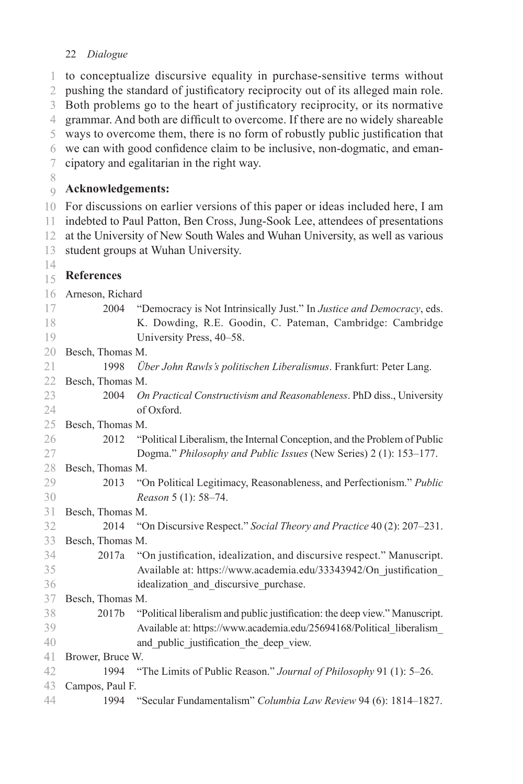to conceptualize discursive equality in purchase-sensitive terms without  $1$  $2$ pushing the standard of justificatory reciprocity out of its alleged main role. 3 Both problems go to the heart of justificatory reciprocity, or its normative 4 grammar. And both are difficult to overcome. If there are no widely shareable 5 ways to overcome them, there is no form of robustly public justification that  $6 \text{ we can with good confidence claim to be inclusive, non-dogmatic, and eman-}$ cipatory and egalitarian in the right way. 8  **Acknowledgements:**  For discussions on earlier versions of this paper or ideas included here, I am indebted to Paul Patton, Ben Cross, Jung-Sook Lee, attendees of presentations  $12$ at the University of New South Wales and Wuhan University, as well as various student groups at Wuhan University.  $13 14$  **References**  16 Arneson, Richard  $17$  2004 "Democracy is Not Intrinsically Just." In *Justice and Democracy* , eds. 18 K. Dowding, R.E. Goodin, C. Pateman, Cambridge: Cambridge  $19$ University Press, 40-58. 20 Besch, Thomas M.  $21$ 1998 *Über John Rawls's politischen Liberalismus*. Frankfurt: Peter Lang. 22 Besch, Thomas M. 23 2004 *On Practical Constructivism and Reasonableness* . PhD diss., University 24 of Oxford. 25 Besch, Thomas M. 26 2012 "Political Liberalism, the Internal Conception, and the Problem of Public 27 Dogma." *Philosophy and Public Issues* (New Series) 2 (1): 153–177. 28 Besch, Thomas M. 29 2013 "On Political Legitimacy, Reasonableness, and Perfectionism." *Public*  30 *Reason* 5 (1): 58-74. 31 Besch, Thomas M. 32 2014 "On Discursive Respect." *Social Theory and Practice* 40 (2): 207–231. 33 Besch, Thomas M. 34 2017a "On justification, idealization, and discursive respect." Manuscript. 35 Available at: https://www.academia.edu/33343942/On\_justification 36 idealization and discursive purchase. 37 Besch, Thomas M. 38 2017b "Political liberalism and public justification: the deep view." Manuscript. 39 Available at: https://www.academia.edu/25694168/Political\_liberalism 40 and public justification the deep view. 41 Brower, Bruce W. 42 1994 "The Limits of Public Reason." *Journal of Philosophy* 91 (1): 5–26. 43 Campos, Paul F. 44 1994 "Secular Fundamentalism" *Columbia Law Review* 94 (6): 1814–1827.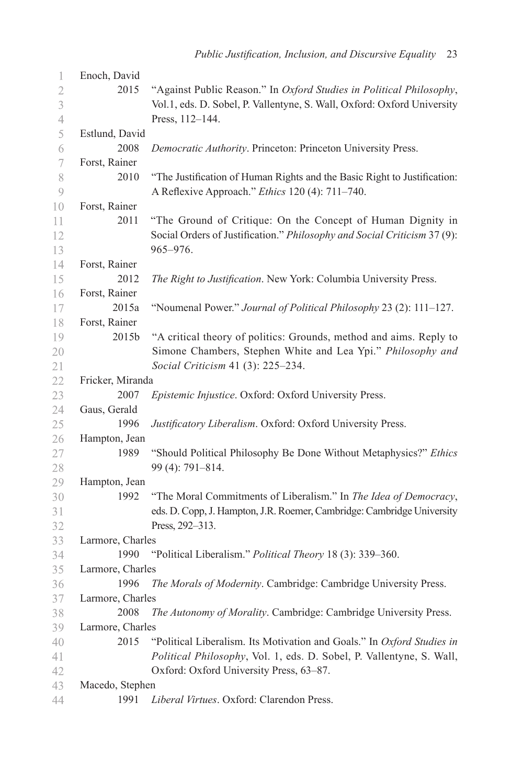| $\mathbf{1}$     | Enoch, David         |                                                                                                                                                     |
|------------------|----------------------|-----------------------------------------------------------------------------------------------------------------------------------------------------|
| $\overline{2}$   | 2015                 | "Against Public Reason." In Oxford Studies in Political Philosophy,                                                                                 |
| 3                |                      | Vol.1, eds. D. Sobel, P. Vallentyne, S. Wall, Oxford: Oxford University                                                                             |
| 4                |                      | Press, 112-144.                                                                                                                                     |
| 5                | Estlund, David       |                                                                                                                                                     |
| 6                | 2008                 | Democratic Authority. Princeton: Princeton University Press.                                                                                        |
| $\boldsymbol{7}$ | Forst, Rainer        |                                                                                                                                                     |
| $\,$ $\,$<br>9   | 2010                 | "The Justification of Human Rights and the Basic Right to Justification:<br>A Reflexive Approach." Ethics 120 (4): 711-740.                         |
| 10               | Forst, Rainer        |                                                                                                                                                     |
| 11<br>12<br>13   | 2011                 | "The Ground of Critique: On the Concept of Human Dignity in<br>Social Orders of Justification." Philosophy and Social Criticism 37 (9):<br>965-976. |
| 14               | Forst, Rainer        |                                                                                                                                                     |
| 15               | 2012                 | The Right to Justification. New York: Columbia University Press.                                                                                    |
| 16               | Forst, Rainer        |                                                                                                                                                     |
| 17               | 2015a                | "Noumenal Power." Journal of Political Philosophy 23 (2): 111-127.                                                                                  |
| 18               | Forst, Rainer        |                                                                                                                                                     |
| 19               | 2015b                | "A critical theory of politics: Grounds, method and aims. Reply to                                                                                  |
| 20               |                      | Simone Chambers, Stephen White and Lea Ypi." Philosophy and                                                                                         |
| 21               |                      | Social Criticism 41 (3): 225-234.                                                                                                                   |
| 22               | Fricker, Miranda     |                                                                                                                                                     |
| 23               | 2007<br>Gaus, Gerald | Epistemic Injustice. Oxford: Oxford University Press.                                                                                               |
| 24<br>25         | 1996                 | Justificatory Liberalism. Oxford: Oxford University Press.                                                                                          |
| 26               | Hampton, Jean        |                                                                                                                                                     |
| $27\,$           | 1989                 | "Should Political Philosophy Be Done Without Metaphysics?" Ethics                                                                                   |
| 28               |                      | 99 (4): 791-814.                                                                                                                                    |
| 29               | Hampton, Jean        |                                                                                                                                                     |
| 30               | 1992                 | "The Moral Commitments of Liberalism." In The Idea of Democracy,                                                                                    |
| 31               |                      | eds. D. Copp, J. Hampton, J.R. Roemer, Cambridge: Cambridge University                                                                              |
| 32               |                      | Press, 292-313.                                                                                                                                     |
| 33               | Larmore, Charles     |                                                                                                                                                     |
| 34               | 1990                 | "Political Liberalism." Political Theory 18 (3): 339-360.                                                                                           |
| 35               | Larmore, Charles     |                                                                                                                                                     |
| 36               | 1996                 | The Morals of Modernity. Cambridge: Cambridge University Press.                                                                                     |
| 37               | Larmore, Charles     |                                                                                                                                                     |
| 38               |                      | 2008 The Autonomy of Morality. Cambridge: Cambridge University Press.                                                                               |
| 39               | Larmore, Charles     |                                                                                                                                                     |
| 40               | 2015                 | "Political Liberalism. Its Motivation and Goals." In Oxford Studies in                                                                              |
| 41               |                      | Political Philosophy, Vol. 1, eds. D. Sobel, P. Vallentyne, S. Wall,                                                                                |
| 42               |                      | Oxford: Oxford University Press, 63-87.                                                                                                             |
| 43               | Macedo, Stephen      |                                                                                                                                                     |
| 44               | 1991                 | Liberal Virtues. Oxford: Clarendon Press.                                                                                                           |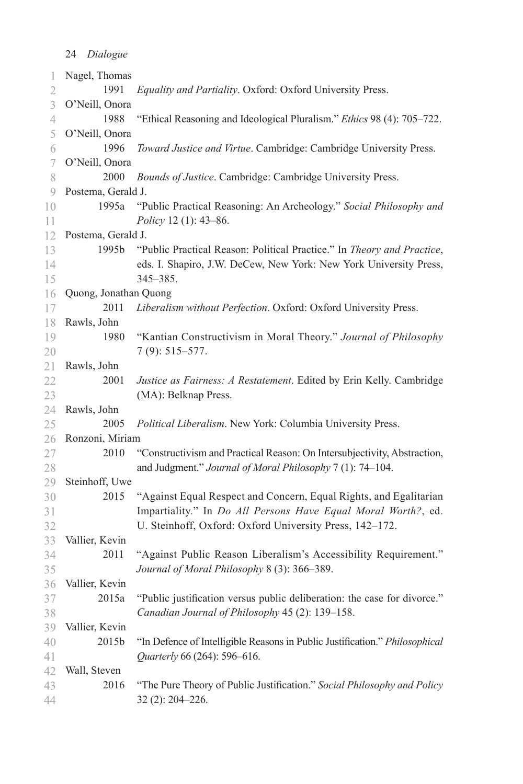| 1            | Nagel, Thomas          |                                                                             |
|--------------|------------------------|-----------------------------------------------------------------------------|
| $\mathbf{2}$ | 1991                   | Equality and Partiality. Oxford: Oxford University Press.                   |
| 3            | O'Neill, Onora         |                                                                             |
| 4            | 1988                   | "Ethical Reasoning and Ideological Pluralism." Ethics 98 (4): 705–722.      |
| 5            | O'Neill, Onora         |                                                                             |
| 6            | 1996                   | Toward Justice and Virtue. Cambridge: Cambridge University Press.           |
| 7            | O'Neill, Onora         |                                                                             |
| 8            | 2000                   | Bounds of Justice. Cambridge: Cambridge University Press.                   |
| 9            | Postema, Gerald J.     |                                                                             |
| 10           | 1995a                  | "Public Practical Reasoning: An Archeology." Social Philosophy and          |
| 11           |                        | Policy 12 (1): 43-86.                                                       |
| 12           | Postema, Gerald J.     |                                                                             |
| 13           | 1995b                  | "Public Practical Reason: Political Practice." In Theory and Practice,      |
| 14           |                        | eds. I. Shapiro, J.W. DeCew, New York: New York University Press,           |
| 15           |                        | 345-385.                                                                    |
| 16           | Quong, Jonathan Quong  |                                                                             |
| 17           | 2011                   | Liberalism without Perfection. Oxford: Oxford University Press.             |
| 18           | Rawls, John            |                                                                             |
| 19           | 1980                   | "Kantian Constructivism in Moral Theory." Journal of Philosophy             |
| 20           |                        | $7(9)$ : 515-577.                                                           |
| 21           | Rawls, John            |                                                                             |
| 22           | 2001                   | Justice as Fairness: A Restatement. Edited by Erin Kelly. Cambridge         |
| 23           |                        | (MA): Belknap Press.                                                        |
| 24           | Rawls, John            |                                                                             |
| 25           | 2005                   | Political Liberalism. New York: Columbia University Press.                  |
| 26           | Ronzoni, Miriam        |                                                                             |
| 27           | 2010                   | "Constructivism and Practical Reason: On Intersubjectivity, Abstraction,    |
| 28           |                        | and Judgment." Journal of Moral Philosophy 7 (1): 74-104.                   |
| 29           | Steinhoff, Uwe         |                                                                             |
| 30           | 2015                   | "Against Equal Respect and Concern, Equal Rights, and Egalitarian           |
| 31           |                        | Impartiality." In Do All Persons Have Equal Moral Worth?, ed.               |
| 32           |                        | U. Steinhoff, Oxford: Oxford University Press, 142-172.                     |
| 33<br>34     | Vallier, Kevin<br>2011 | "Against Public Reason Liberalism's Accessibility Requirement."             |
| 35           |                        | Journal of Moral Philosophy 8 (3): 366-389.                                 |
| 36           | Vallier, Kevin         |                                                                             |
| 37           | 2015a                  | "Public justification versus public deliberation: the case for divorce."    |
| 38           |                        | Canadian Journal of Philosophy 45 (2): 139-158.                             |
| 39           | Vallier, Kevin         |                                                                             |
| 40           | 2015b                  | "In Defence of Intelligible Reasons in Public Justification." Philosophical |
| 41           |                        | Quarterly 66 (264): 596-616.                                                |
| 42           | Wall, Steven           |                                                                             |
| 43           | 2016                   | "The Pure Theory of Public Justification." Social Philosophy and Policy     |
| 44           |                        | 32 (2): 204-226.                                                            |
|              |                        |                                                                             |